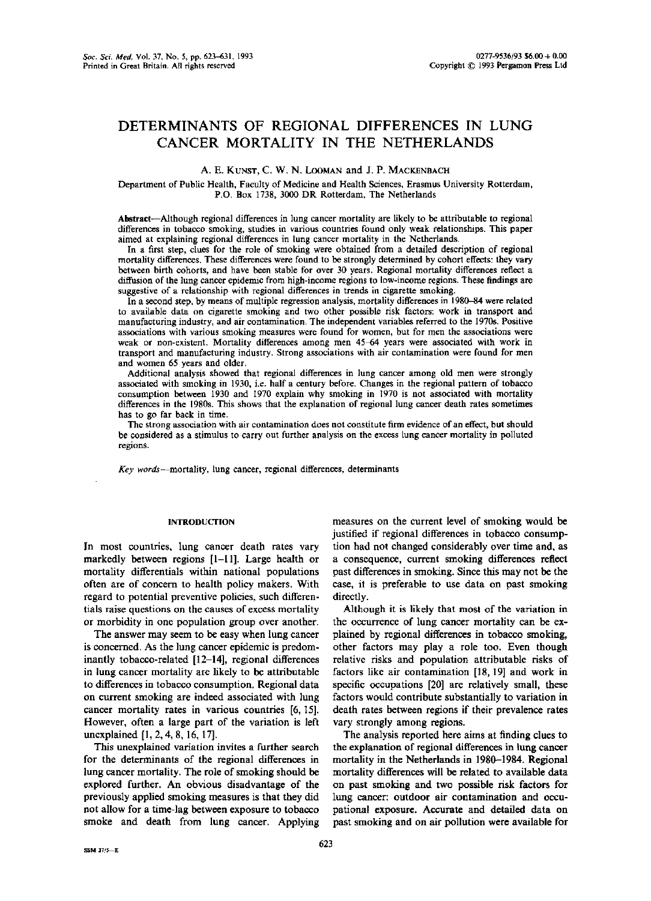# DETERMINANTS OF REGIONAL DIFFERENCES IN LUNG CANCER MORTALITY IN THE NETHERLANDS

# A. E. KUNST, C. W. N. LOOMAN and J. P. MACKENBACH

Department of Public Health, Faculty of Medicine and Health Sciences, Erasmus University Rotterdam, P.O . Box 1738, 3000 DR Rotterdam, The Netherlands

Abstract-Although regional differences in lung cancer mortality are likely to be attributable to regional differences in tobacco smoking, studies in various countries found only weak relationships . This paper aimed at explaining regional differences in lung cancer mortality in the Netherlands .

In a first step, clues for the role of smoking were obtained from a detailed description of regional mortality differences . These differences were found to be strongly determined by cohort effects : they vary between birth cohorts, and have been stable for over 30 years . Regional mortality differences reflect a diffusion of the lung cancer epidemic from high-income regions to low-income regions . These findings are suggestive of a relationship with regional differences in trends in cigarette smoking.

In a second step, by means of multiple regression analysis, mortality differences in 1980-84 were related to available data on cigarette smoking and two other possible risk factors: work in transport and manufacturing industry, and air contamination . The independent variables referred to the 1970s . Positive associations with various smoking measures were found for women, but for men the associations were weak or non-existent. Mortality differences among men 45-64 years were associated with work in transport and manufacturing industry . Strong associations with air contamination were found for men and women 65 years and older.

Additional analysis showed that regional differences in lung cancer among old men were strongly associated with smoking in 1930, i.e. half a century before. Changes in the regional pattern of tobacco consumption between 1930 and 1970 explain why smoking in 1970 is not associated with mortality differences in the 1980s- This shows that the explanation of regional lung cancer death rates sometimes has to go far back in time.

The strong association with air contamination does not constitute firm evidence of an effect, but should be considered as a stimulus to carry out further analysis on the excess lung cancer mortality in polluted regions.

Key words-mortality, lung cancer, regional differences, determinants

## INTRODUCTION

In most countries, lung cancer death rates vary markedly between regions [1-11]. Large health or mortality differentials within national populations often are of concern to health policy makers. With regard to potential preventive policies, such differentials raise questions on the causes of excess mortality or morbidity in one population group over another .

The answer may seem to be easy when lung cancer is concerned . As the lung cancer epidemic is predominantly tobacco-related [12-14], regional differences in lung cancer mortality are likely to be attributable to differences in tobacco consumption. Regional data on current smoking are indeed associated with lung cancer mortality rates in various countries [6, 15]. However, often a large part of the variation is left uncxplained [1, 2, 4, 8, 16, 17].

This unexplained variation invites a further search for the determinants of the regional differences in lung cancer mortality. The role of smoking should be explored further. An obvious disadvantage of the previously applied smoking measures is that they did not allow for a time-lag between exposure to tobacco smoke and death from lung cancer. Applying measures on the current level of smoking would be justified if regional differences in tobacco consumption had not changed considerably over time and, as a consequence, current smoking differences reflect past differences in smoking. Since this may not be the case, it is preferable to use data on past smoking directly.

Although it is likely that most of the variation in the occurrence of lung cancer mortality can be explained by regional differences in tobacco smoking, other factors may play a role too . Even though relative risks and population attributable risks of factors like air contamination [18, 19] and work in specific occupations [20] are relatively small, these factors would contribute substantially to variation in death rates between regions if their prevalence rates vary strongly among regions.

The analysis reported here aims at finding clues to the explanation of regional differences in lung cancer mortality in the Netherlands in 1980-1984. Regional mortality differences will be related to available data on past smoking and two possible risk factors for lung cancer: outdoor air contamination and occupational exposure. Accurate and detailed data on past smoking and on air pollution were available for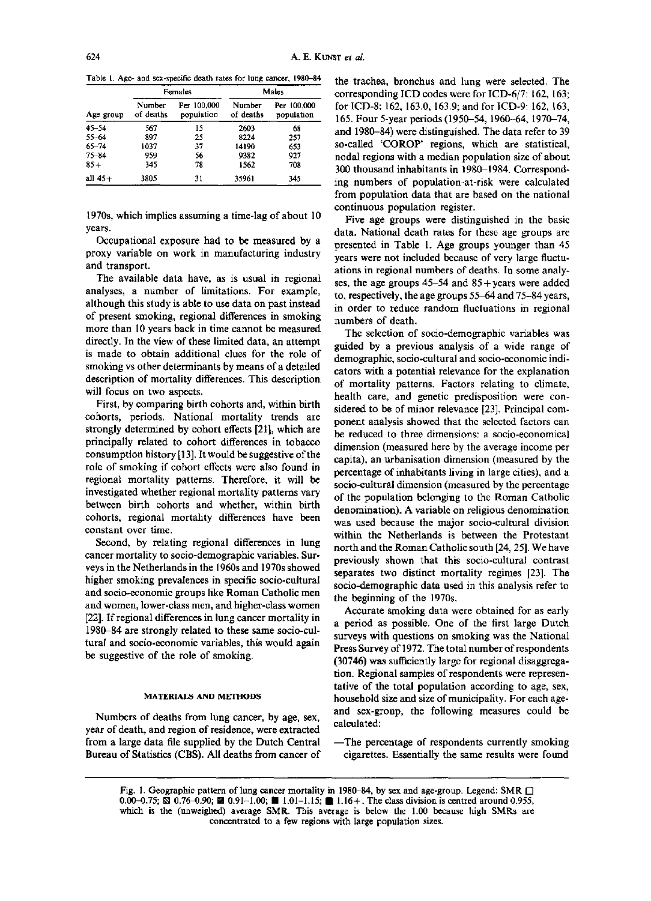Table 1. Age- and sex-specific death rates for lung cancer, 1980-84

|           |                     | Females                   | Males               |                           |  |
|-----------|---------------------|---------------------------|---------------------|---------------------------|--|
| Age group | Number<br>of deaths | Per 100,000<br>population | Number<br>of deaths | Per 100,000<br>population |  |
| $45 - 54$ | 567                 | 15                        | 2603                | 68                        |  |
| $55 - 64$ | 897                 | 25                        | 8224                | 257                       |  |
| $65 - 74$ | 1037                | 37                        | 14190               | 653                       |  |
| $75 - 64$ | 959                 | 56                        | 9382                | 927                       |  |
| $85 +$    | 345                 | 78                        | 1562                | 708                       |  |
| all $45+$ | 3805<br>----        | 31                        | 35961               | 345                       |  |

1970s, which implies assuming a time-lag of about 10 years.

Occupational exposure had to be measured by a proxy variable on work in manufacturing industry and transport.

The available data have, as is usual in regional analyses, a number of limitations . For example, although this study is able to use data on past instead of present smoking, regional differences in smoking more than 10 years back in time cannot be measured directly . In the view of these limited data, an attempt is made to obtain additional clues for the role of smoking vs other determinants by means of a detailed description of mortality differences. This description will focus on two aspects.

First, by comparing birth cohorts and, within birth cohorts, periods. National mortality trends are strongly determined by cohort effects [21], which are principally related to cohort differences in tobacco consumption history [13] . It would be suggestive of the role of smoking if cohort effects were also found in regional mortality patterns. Therefore, it will be investigated whether regional mortality patterns vary between birth cohorts and whether, within birth cohorts, regional mortality differences have been constant over time .

Second, by relating regional differences in lung cancer mortality to socio-demographic variables. Surveys in the Netherlands in the 1960s and 1970s showed higher smoking prevalences in specific socio-cultural and socio-economic groups like Roman Catholic men and women, lower-class men, and higher-class women [22]. If regional differences in lung cancer mortality in 1980-84 are strongly related to these same socio-cultural and socio-economic variables, this would again be suggestive of the role of smoking.

#### MATERIALS AND METHODS

Numbers of deaths from lung cancer, by age, sex, year of death, and region of residence, were extracted from a large data file supplied by the Dutch Central -The percentage of respondents currently smoking Bureau of Statistics (CBS) . All deaths from cancer of

the trachea, bronchus and lung were selected. The corresponding ICD codes were for ICD-6/7: 162, 163; for ICD-8: 162, 163.0, 163.9; and for ICD-9: 162, 163, 165. Four 5-year periods (1950–54, 1960–64, 1970–74, and 1980-84) were distinguished. The data refer to 39 so-called 'COROP' regions, which are statistical, nodal regions with a median population size of about 300 thousand inhabitants in 1980-1984 . Corresponding numbers of population-at-risk were calculated from population data that are based on the national continuous population register .

Five age groups were distinguished in the basic data. National death rates for these age groups are presented in Table 1. Age groups younger than 45 years were not included because of very large fluctuations in regional numbers of deaths. In some analyses, the age groups  $45-54$  and  $85+$  years were added to, respectively, the age groups 55-64 and 75-84 years, in order to reduce random fluctuations in regional numbers of death.

The selection of socio-demographic variables was guided by a previous analysis of a wide range of demographic, socio-cultural and socio-economic indicators with a potential relevance for the explanation of mortality patterns. Factors relating to climate, health care, and genetic predisposition were considered to be of minor relevance [23]. Principal component analysis showed that the selected factors can be reduced to three dimensions: a socio-economical dimension (measured here by the average income per capita), an urbanisation dimension (measured by the percentage of inhabitants living in large cities), and a socio-cultural dimension (measured by the percentage of the population belonging to the Roman Catholic denomination). A variable on religious denomination was used because the major socio-cultural division within the Netherlands is between the Protestant north and the Roman Catholic south [24, 25] . We have previously shown that this socio-cultural contrast separates two distinct mortality regimes [23]. The socio-demographic data used in this analysis refer to the beginning of the 1970s.

Accurate smoking data were obtained for as early a period as possible. One of the first large Dutch surveys with questions on smoking was the National Press Survey of 1972 . The total number of respondents (30746) was sufficiently large for regional disaggregation. Regional samples of respondents were representative of the total population according to age, sex, household size and size of municipality. For each ageand sex-group, the following measures could be calculated:

cigarettes . Essentially the same results were found

Fig. 1. Geographic pattern of lung cancer mortality in 1980-84, by sex and age-group. Legend: SMR  $\Box$ 0.00–0.75; S 0.76–0.90; 2 0.91–1.00; ■ 1.01–1.15; ■ 1.16+. The class division is centred around 0.955, which is the (unweighed) average SMR. This average is below the 1 .00 because high SMRs are concentrated to a few regions with large population sizes .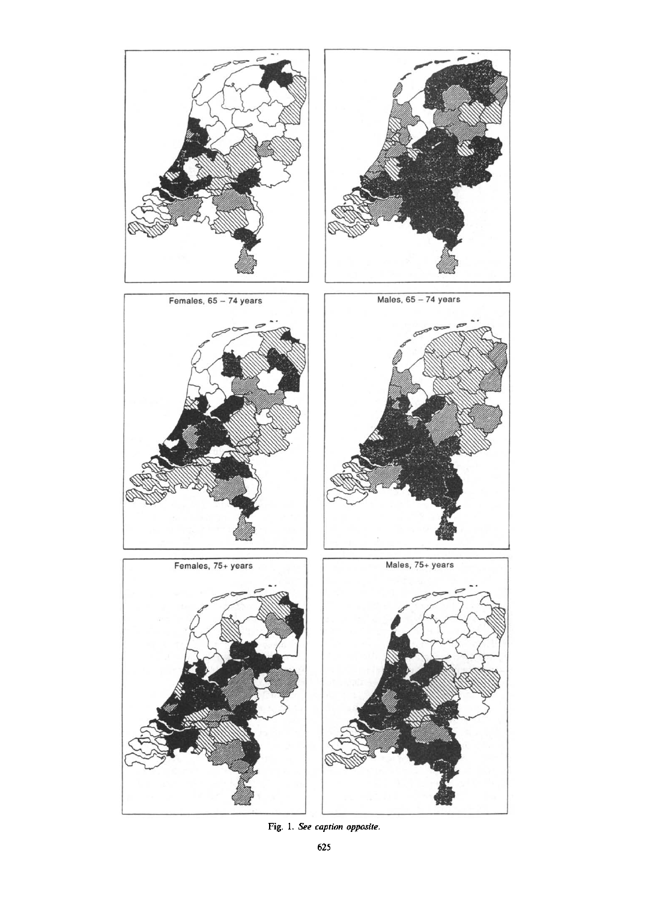

Fig. 1. See caption opposite.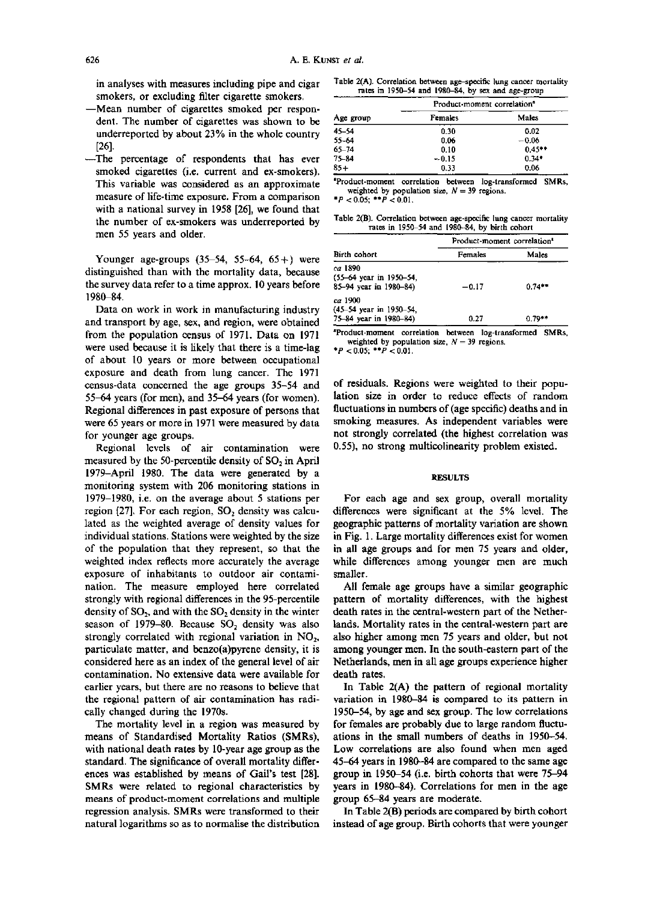in analyses with measures including pipe and cigar smokers, or excluding filter cigarette smokers.

- -Mean number of cigarettes smoked per respondent. The number of cigarettes was shown to be underreported by about 23% in the whole country [26].
- -The percentage of respondents that has ever smoked cigarettes (i.e. current and ex-smokers). This variable was considered as an approximate measure of life-time exposure . From a comparison with a national survey in 1958 [26], we found that the number of ex-smokers was underreported by men 55 years and older.

Younger age-groups  $(35-54, 55-64, 65+)$  were distinguished than with the mortality data, because the survey data refer to a time approx. 10 years before 1980-84.

Data on work in work in manufacturing industry and transport by age, sex, and region, were obtained from the population census of 1971. Data on 1971 were used because it is likely that there is a time-lag of about 10 years or more between occupational exposure and death from lung cancer. The 1971 census-data concerned the age groups 35-54 and 55-64 years (for men), and 35-64 years (for women) . Regional differences in past exposure of persons that were 65 years or more in 1971 were measured by data for younger age groups.

Regional levels of air contamination were measured by the 50-percentile density of SO, in April 1979-April 1980. The data were generated by a monitoring system with 206 monitoring stations in 1979-1980, i .e . on the average about 5 stations per region  $[27]$ . For each region,  $SO<sub>2</sub>$  density was calculated as the weighted average of density values for individual stations . Stations were weighted by the size of the population that they represent, so that the weighted index reflects more accurately the average exposure of inhabitants to outdoor air contamination. The measure employed here correlated strongly with regional differences in the 95-percentile density of  $SO_2$ , and with the  $SO_2$  density in the winter season of 1979-80. Because SO, density was also strongly correlated with regional variation in  $NO<sub>2</sub>$ , particulate matter, and benzo(a)pyrene density, it is considered here as an index of the general level of air contamination . No extensive data were available for earlier years, but there are no reasons to believe that the regional pattern of air contamination has radically changed during the 1970s.

The mortality level in a region was measured by means of Standardised Mortality Ratios (SMRs), with national death rates by 10-year age group as the standard. The significance of overall mortality differences was established by means of Gail's test [28]. SMRs were related to regional characteristics by means of product-moment correlations and multiple regression analysis . SMRs were transformed to their natural logarithms so as to normalise the distribution

Table 2(A). Correlation between age-specific lung cancer mortality rates in 1950-54 and 1980-84, by sex and age-group

|           | Product moment correlation <sup>3</sup> |          |  |
|-----------|-----------------------------------------|----------|--|
| Age group | Females                                 | Males    |  |
| 45-54     | 0.30                                    | 0.02     |  |
| 55-64     | 0.06                                    | $-0.06$  |  |
| $65 - 74$ | 0.10                                    | $0.45**$ |  |
| 75-84     | $-0.15$                                 | $0.34*$  |  |
| $85+$     | 0.33                                    | 0.06     |  |

'Product-moment correlation between log-transformed SMRs, weighted by population size,  $N = 39$  regions.

 $^{*}P < 0.05;$   $^{*+}P < 0.01$ .

Table 2(B). Correlation between age-specific lung cancer mortality rates in 1950-54 and 1980-84, by birth cohort

|                         | Product-moment correlation <sup>®</sup> |          |  |  |
|-------------------------|-----------------------------------------|----------|--|--|
| Birth cohort            | Females                                 | Males    |  |  |
| ca 1890                 |                                         |          |  |  |
| (55-64 year in 1950-54, |                                         |          |  |  |
| 85-94 year in 1980-84)  | $-0.17$                                 | $0.74**$ |  |  |
| ca 1900                 |                                         |          |  |  |
| (45-54 year in 1950-54, |                                         |          |  |  |
| 75-84 year in 1980-84)  | 0.27                                    | $0.79**$ |  |  |

'Product-moment correlation between log-transformed SMRs, weighted by population size,  $N = 39$  regions.

 $^{*}P$  < 0.05;  $^{**}P$  < 0.01.

of residuals. Regions were weighted to their population size in order to reduce effects of random fluctuations in numbers of (age specific) deaths and in smoking measures. As independent variables were not strongly correlated (the highest correlation was 0.55), no strong multicolinearity problem existed.

#### RESULTS

For each age and sex group, overall mortality differences were significant at the 5% level. The geographic patterns of mortality variation are shown in Fig. 1. Large mortality differences exist for women in all age groups and for men 75 years and older, while differences among younger men are much smaller.

All female age groups have a similar geographic pattern of mortality differences, with the highest death rates in the central-western part of the Netherlands. Mortality rates in the central-western part are also higher among men 75 years and older, but not among younger men. In the south-eastern part of the Netherlands, men in all age groups experience higher death rates.

In Table 2(A) the pattern of regional mortality variation in 1980-84 is compared to its pattern in 1950-54, by age and sex group . The low correlations for females are probably due to large random fluctuations in the small numbers of deaths in 1950-54 . Low correlations are also found when men aged 45-64 years in 1980-84 are compared to the same age group in 1950-54 (i.e. birth cohorts that were 75-94 years in 1980-84) . Correlations for men in the age group 65-84 years are moderate.

In Table 2(B) periods are compared by birth cohort instead of age group. Birth cohorts that were younger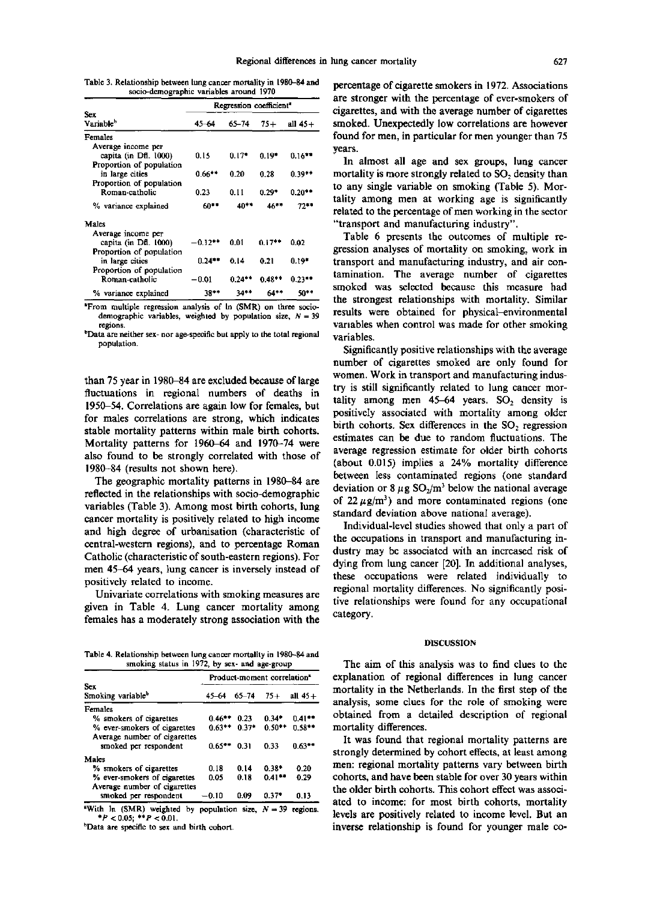Table 3 . Relationship between lung cancer mortality in 1980-84 and socio-demographic variables around 1970

|                               | Regression coefficient <sup>-</sup> |           |          |           |
|-------------------------------|-------------------------------------|-----------|----------|-----------|
| Sex.<br>Variable <sup>b</sup> | 4. – 64                             | 65-74     | 75+      | all 45+   |
| Females                       |                                     |           |          |           |
| Average income per            |                                     |           |          |           |
| capita (in Dfl. 1000)         | 0.15                                | $0.17*$   | $0.19*$  | $0.16***$ |
| Proportion of population      |                                     |           |          |           |
| in large cities               | $0.66**$                            | 0.20      | 0.28     | $0.39**$  |
| Proportion of population      |                                     |           |          |           |
| Roman-catholic                | 0.23                                | 0.11      | $0.29*$  | $0.20***$ |
| % variance explained          | 60**                                | 40**      | $46***$  | 72**      |
| Males                         |                                     |           |          |           |
| Average income per            |                                     |           |          |           |
| capita (in Dfl. 1000)         | -0.12**                             | 0.01      | $0.17 +$ | 0.02      |
| Proportion of population      |                                     |           |          |           |
| in large cities               | $0.24***$                           | 0.14      | 0.21     | $0.19*$   |
| Proportion of population      |                                     |           |          |           |
| Roman-catholic                | $-0.01$                             | $0.24$ ** | $0.48**$ | $0.23***$ |
| % variance explained          | 38**                                | 34**      | 64**     | 50**      |

'From multiple regression analysis of In (SMR) on three sociodemographic variables, weighted by population size,  $N = 39$ regions.

'Data are neither sex- nor age-specific but apply to the total regional population.

than 75 year in 1980-84 are excluded because of large fluctuations in regional numbers of deaths in 1950-54. Correlations are again low for females, but for males correlations are strong, which indicates stable mortality patterns within male birth cohorts. Mortality patterns for 1960-64 and 1970-74 were also found to be strongly correlated with those of 1980-84 (results not shown here) .

The geographic mortality patterns in 1980-84 are reflected in the relationships with socio-demographic variables (Table 3) . Among most birth cohorts, lung cancer mortality is positively related to high income and high degree of urbanisation (characteristic of central-western regions), and to percentage Roman Catholic (characteristic of south-eastern regions) . For men 45-64 years, lung cancer is inversely instead of positively related to income .

Univariate correlations with smoking measures are given in Table 4. Lung cancer mortality among females has a moderately strong association with the

Table 4. Relationship between lung cancer mortality in 1980-84 and smoking status in 1972, by sex- and age-group

|                                      | Product-moment correlation <sup>*</sup> |         |          |           |
|--------------------------------------|-----------------------------------------|---------|----------|-----------|
| Sex<br>Smoking variable <sup>b</sup> | 45-64                                   | 65–74   | $75+$    | all $45+$ |
| Females                              |                                         |         |          |           |
| % smokers of cigarettes              | $0.46***$                               | 0.23    | $0.34*$  | $0.41**$  |
| % ever-smokers of cigarettes         | $0.63**$                                | $0.37*$ | 0.50**   | $0.58**$  |
| Average number of cigarettes         |                                         |         |          |           |
| smoked per respondent                | 065**                                   | 0.31    | 033      | $0.63***$ |
| Males                                |                                         |         |          |           |
| % smokers of cigarettes              | 0.18                                    | 0.14    | 0.38*    | 0.20      |
| % ever-smokers of cigarettes         | 0.05                                    | 0.18    | $0.41**$ | 0.29      |
| Average number of cigarettes         |                                         |         |          |           |
| smoked per respondent                | $-0.10$                                 | 0.09    | $0.37*$  | 0.13      |

"With  $\ln$  (SMR) weighted by population size,  $N=39$  regions.  $*P < 0.05$ ;  $*P < 0.01$ .

<sup>b</sup>Data are specific to sex and birth cohort.

percentage of cigarette smokers in 1972 . Associations are stronger with the percentage of ever-smokers of cigarettes, and with the average number of cigarettes smoked. Unexpectedly low correlations are however found for men, in particular for men younger than 75 years.

In almost all age and sex groups, lung cancer mortality is more strongly related to  $SO<sub>2</sub>$  density than to any single variable on smoking (Table 5). Mortality among men at working age is significantly related to the percentage of men working in the sector "transport and manufacturing industry".

Table 6 presents the outcomes of multiple regression analyses of mortality on smoking, work in transport and manufacturing industry, and air contamination. The average number of cigarettes smoked was selected because this measure had the strongest relationships with mortality. Similar results were obtained for physical-environmental variables when control was made for other smoking variables.

Significantly positive relationships with the average number of cigarettes smoked are only found for women. Work in transport and manufacturing industry is still significantly related to lung cancer mortality among men  $45-64$  years. SO<sub>2</sub> density is positively associated with mortality among older birth cohorts. Sex differences in the  $SO<sub>2</sub>$  regression estimates can be due to random fluctuations. The average regression estimate for older birth cohorts (about 0.015) implies a 24% mortality difference between less contaminated regions (one standard deviation or 8  $\mu$ g SO<sub>2</sub>/m<sup>3</sup> below the national average of 22  $\mu$ g/m<sup>3</sup>) and more contaminated regions (one standard deviation above national average) .

Individual-level studies showed that only a part of the occupations in transport and manufacturing industry may be associated with an increased risk of dying from lung cancer [20]. In additional analyses, these occupations were related individually to regional mortality differences . No significantly positive relationships were found for any occupational category.

## DISCUSSION

The aim of this analysis was to find clues to the explanation of regional differences in lung cancer mortality in the Netherlands . In the first step of the analysis, some clues for the role of smoking were obtained from a detailed description of regional mortality differences.

It was found that regional mortality patterns are strongly determined by cohort effects, at least among men: regional mortality patterns vary between birth cohorts, and have been stable for over 30 years within the older birth cohorts. This cohort effect was associated to income: for most birth cohorts, mortality levels are positively related to income level. But an inverse relationship is found for younger male co-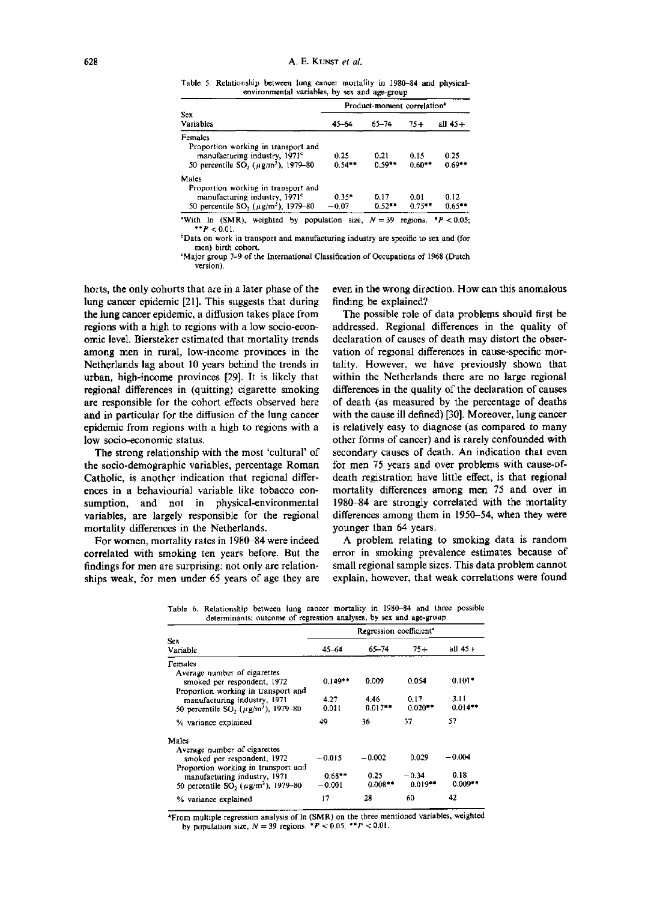Table 5. Relationship between lung cancer mortality in 1980-84 and physicalenvironmental variables, by sex and age-group

|                                                                                                                                           | Product-moment correlation <sup>a</sup> |                  |                  |                       |
|-------------------------------------------------------------------------------------------------------------------------------------------|-----------------------------------------|------------------|------------------|-----------------------|
| Sex.<br><b>Variables</b>                                                                                                                  | $45 - 6 -$                              | $65 - 74$        | $75+$            | +45 لله               |
| Females                                                                                                                                   |                                         |                  |                  |                       |
| Proportion working in transport and<br>manulacturing industry, 1971°<br>50 percentile SO <sub>2</sub> ( $\mu$ g/m <sup>3</sup> ), 1979–80 | 0.25<br>$0.54**$                        | 0.21<br>$0.59**$ | 0.15<br>$0.60**$ | 0.25<br>$0.69**$      |
| Males                                                                                                                                     |                                         |                  |                  |                       |
| Proportion working in transport and                                                                                                       |                                         |                  |                  |                       |
| manufacturing industry, 1971 <sup>c</sup>                                                                                                 | $0.35*$                                 | 0.17             | 0.01             | 0.12                  |
| 50 percentile SO <sub>2</sub> ( $\mu$ g/m <sup>3</sup> ), 1979-80                                                                         | $-0.07$                                 | $0.52**$         | $0.75***$        | $0.65***$             |
| In (SMR), weighted by population size, $N = 39$<br>"With                                                                                  |                                         |                  |                  | regions. $P < 0.05$ : |

 $*$   $P$  < 0.01. 'Data on work in transport and manufacturing industry are specific to sex and (for men) birth cohort.

`Major group 7-9 of the International Classification of Occupations of 1968 (Dutch version) .

horts, the only cohorts that are in a later phase of the lung cancer epidemic [21]. This suggests that during the lung cancer epidemic, a diffusion takes place from regions with a high to regions with a low socio-economic level . Biersteker estimated that mortality trends among men in rural, low-income provinces in the Netherlands lag about 10 years behind the trends in urban, high-income provinces (29] . It is likely that regional differences in (quitting) cigarette smoking are responsible for the cohort effects observed here and in particular for the diffusion of the lung cancer epidemic from regions with a high to regions with a low socio-economic status.

The strong relationship with the most 'cultural' of the socio-demographic variables, percentage Roman Catholic, is another indication that regional differences in a behaviourial variable like tobacco consumption, and not in physical-environmental variables, are largely responsible for the regional mortality differences in the Netherlands.

For women, mortality rates in 1980-84 were indeed correlated with smoking ten years before. But the findings for men are surprising: not only are relationships weak, for men under 65 years of age they are even in the wrong direction . How can this anomalous finding be explained?

The possible role of data problems should first be addressed. Regional differences in the quality of declaration of causes of death may distort the observation of regional differences in cause-specific mortality. However, we have previously shown that within the Netherlands there are no large regional differences in the quality of the declaration of causes of death (as measured by the percentage of deaths with the cause ill defined) [30]. Moreover, lung cancer is relatively easy to diagnose (as compared to many other forms of cancer) and is rarely confounded with secondary causes of death. An indication that even for men 75 years and over problems with cause-ofdeath registration have little effect, is that regional mortality differences among men 75 and over in 1980-84 are strongly correlated with the mortality differences among them in 1950-54, when they were younger than 64 years.

A problem relating to smoking data is random error in smoking prevalence estimates because of small regional sample sizes . This data problem cannot explain, however, that weak correlations were found

|                                                                                                    | Regression coefficient <sup>*</sup> |                    |                       |                   |
|----------------------------------------------------------------------------------------------------|-------------------------------------|--------------------|-----------------------|-------------------|
| Sex<br>Variable                                                                                    | $45 - 64$                           | 65-74              | $75+$                 | all 45+           |
| Females                                                                                            |                                     |                    |                       |                   |
| Average number of cigarettes<br>smoked per respondent, 1972<br>Proportion working in transport and | $0.149**$                           | 0.009              | 0.054                 | $0.101*$          |
| manufacturing industry, 1971<br>50 percentile SO <sub>2</sub> ( $\mu$ g/m <sup>3</sup> ), 1979–80  | 4.27<br>0.011                       | 4.46<br>$0.017***$ | 0.17<br>$0.020**$     | 3.11<br>$0.014**$ |
| % variance explained                                                                               | 49                                  | 36                 | 37                    | 57                |
| Males                                                                                              |                                     |                    |                       |                   |
| Average number of cigarettes<br>smoked per respondent, 1972<br>Proportion working in transport and | $-0.015$                            | $-0.002$           | 0.029                 | $-0.004$          |
| manufacturing industry, 1971<br>50 percentile $SO_2$ ( $\mu$ g/m <sup>3</sup> ), 1979–80           | $0.68**$<br>$-0.001$                | 0.25<br>$0.008**$  | $-0.34$<br>$0.019***$ | 0.18<br>$0.009**$ |
| % variance explained                                                                               | 17                                  | 28                 | 60                    | 42                |

Table 6. Relationship between lung cancer mortality in 1980-84 and three possible determinants: outcome of regression analyses, by sex and age-group

'From multiple regression analysis of In (SMR) on the three mentioned variables, weighted by population size,  $N = 39$  regions.  $*P < 0.05$ ;  $**P < 0.01$ .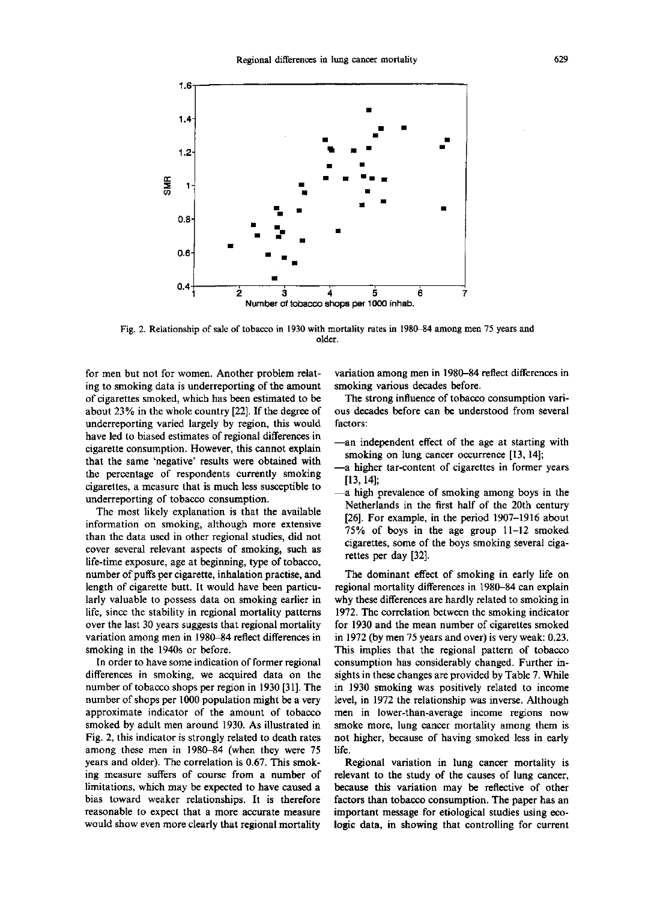

Fig. 2. Relationship of sale of tobacco in 1930 with mortality rates in 1980-84 among men 75 years and older.

for men but not for women. Another problem relating to smoking data is underreporting of the amount of cigarettes smoked, which has been estimated to be about 23% in the whole country [22] . If the degree of underreporting varied largely by region, this would have led to biased estimates of regional differences in cigarette consumption . However, this cannot explain that the same `negative' results were obtained with the percentage of respondents currently smoking cigarettes, a measure that is much less susceptible to underreporting of tobacco consumption.

The most likely explanation is that the available information on smoking, although more extensive than the data used in other regional studies, did not cover several relevant aspects of smoking, such as life-time exposure, age at beginning, type of tobacco, number of puffs per cigarette, inhalation practise, and length of cigarette butt. It would have been particularly valuable to possess data on smoking earlier in life, since the stability in regional mortality patterns over the last 30 years suggests that regional mortality variation among men in 1980-84 reflect differences in smoking in the 1940s or before.

In order to have some indication of former regional differences in smoking, we acquired data on the number of tobacco shops per region in 1930 [31] . The number of shops per 1000 population might be a very approximate indicator of the amount of tobacco smoked by adult men around 1930. As illustrated in Fig. 2, this indicator is strongly related to death rates among these men in 1980-84 (when they were 75 years and older). The correlation is 0.67. This smoking measure suffers of course from a number of limitations, which may be expected to have caused a bias toward weaker relationships. It is therefore reasonable to expect that a more accurate measure would show even more clearly that regional mortality variation among men in 1980-84 reflect differences in smoking various decades before.

The strong influence of tobacco consumption various decades before can be understood from several factors:

- -an independent effect of the age at starting with smoking on lung cancer occurrence [13, 14];
- -a higher tar-content of cigarettes in former years  $[13, 14]$ ;
- -a high prevalence of smoking among boys in the Netherlands in the first half of the 20th century [26]. For example, in the period 1907-1916 about 75% of boys in the age group 11-12 smoked cigarettes, some of the boys smoking several cigarettes per day [32].

The dominant effect of smoking in early life on regional mortality differences in 1980-84 can explain why these differences are hardly related to smoking in 1972 . The correlation between the smoking indicator for 1930 and the mean number of cigarettes smoked in 1972 (by men 75 years and over) is very weak: 0.23 . This implies that the regional pattern of tobacco consumption has considerably changed. Further insights in these changes are provided by Table 7. While in 1930 smoking was positively related to income level, in 1972 the relationship was inverse. Although men in lower-than-average income regions now smoke more, lung cancer mortality among them is not higher, because of having smoked less in early life .

Regional variation in lung cancer mortality is relevant to the study of the causes of lung cancer, because this variation may be reflective of other factors than tobacco consumption. The paper has an important message for etiological studies using ecologic data, in showing that controlling for current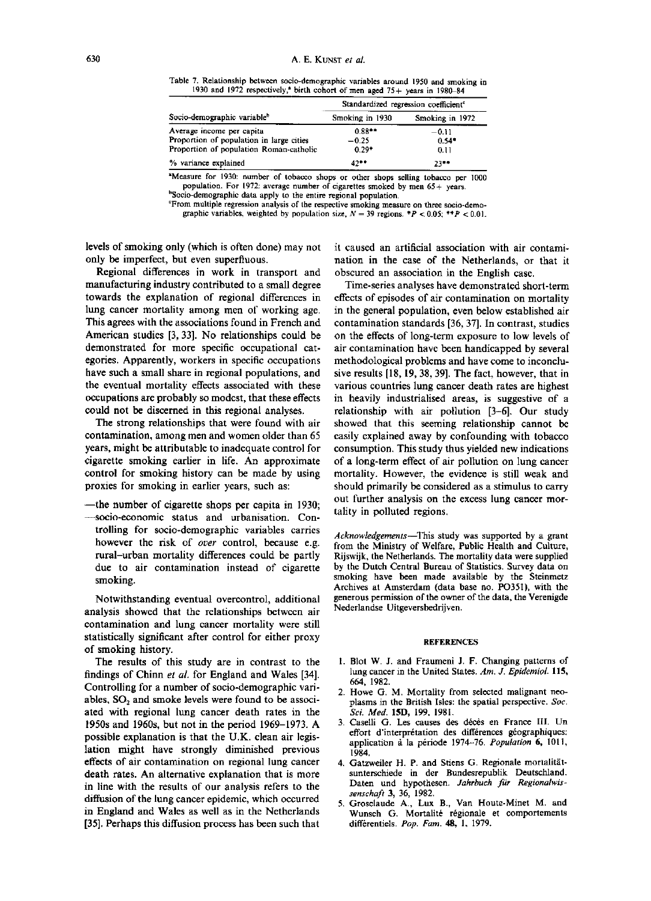Table 7. Relationship between socio-demographic variables around 1950 and smoking in <sup>1930</sup> and 1972 respectively,' birth cohort of men aged 75+ years in 1980-84

|                                          | Standardized regression coefficient <sup>e</sup> |                 |  |  |
|------------------------------------------|--------------------------------------------------|-----------------|--|--|
| Socio-demographic variable <sup>b</sup>  | Smoking in 1930                                  | Smoking in 1972 |  |  |
| Average income per capita                | $0.88**$                                         | $-0.11$         |  |  |
| Proportion of population in large cities | $-0.25$                                          | $0.54*$         |  |  |
| Proportion of population Roman-catholic  | $0.29*$                                          | 0.11            |  |  |
| % variance explained                     | $42 -$                                           | 2.**            |  |  |

<sup>a</sup>Measure for 1930: number of tobacco shops or other shops selling tobacco per 1000 population. For 1972: average number of cigarettes smoked by men 65+ years. <sup>b</sup>Socio-demographic data apply to the entire regional population.

`From multiple regression analysis of the respective smoking measure on throe socio-demographic variables, weighted by population size,  $N = 39$  regions. \* $P < 0.05$ ; \*\* $P < 0.01$ .

levels of smoking only (which is often done) may not only be imperfect, but even superfluous .

Regional differences in work in transport and manufacturing industry contributed to a small degree towards the explanation of regional differences in lung cancer mortality among men of working age. This agrees with the associations found in French and American studies [3, 33]. No relationships could be demonstrated for more specific occupational categories . Apparently, workers in specific occupations have such a small share in regional populations, and the eventual mortality effects associated with these occupations are probably so modest, that these effects could not be discerned in this regional analyses.

The strong relationships that were found with air contamination, among men and women older than 65 years, might be attributable to inadequate control for cigarette smoking earlier in life . An approximate control for smoking history can be made by using proxies for smoking in earlier years, such as:

-the number of cigarette shops per capita in 1930; -socio-economic status and urbanisation . Controlling for socio-demographic variables carries however the risk of over control, because e.g. rural-urban mortality differences could be partly due to air contamination instead of cigarette smoking.

Notwithstanding eventual overcontrol, additional analysis showed that the relationships between air contamination and lung cancer mortality were still statistically significant after control for either proxy of smoking history.

The results of this study are in contrast to the findings of Chinn et al. for England and Wales [34]. Controlling for a number of socio-demographic variables,  $SO<sub>2</sub>$  and smoke levels were found to be associated with regional lung cancer death rates in the 1950s and 1960s, but not in the period 1969-1973 . A possible explanation is that the U .K. clean air legislation might have strongly diminished previous effects of air contamination on regional lung cancer death rates. An alternative explanation that is more in line with the results of our analysis refers to the diffusion of the lung cancer epidemic, which occurred in England and Wales as well as in the Netherlands [35]. Perhaps this diffusion process has been such that it caused an artificial association with air contamination in the case of the Netherlands, or that it obscured an association in the English case.

Time-series analyses have demonstrated short-term effects of episodes of air contamination on mortality in the general population, even below established air contamination standards [36, 37]. In contrast, studies on the effects of long-term exposure to low levels of air contamination have been handicapped by several methodological problems and have come to inconclusive results [18, 19, 38, 39]. The fact, however, that in various countries lung cancer death rates are highest in heavily industrialised areas, is suggestive of a relationship with air pollution [3-6] . Our study showed that this seeming relationship cannot be easily explained away by confounding with tobacco consumption . This study thus yielded new indications of a long-term effect of air pollution on lung cancer mortality. However, the evidence is still weak and should primarily be considered as a stimulus to carry out further analysis on the excess lung cancer mortality in polluted regions.

Acknowledgements-This study was supported by a grant from the Ministry of Welfare, Public Health and Culture, Rijswijk, the Netherlands . The mortality data were supplied by the Dutch Central Bureau of Statistics . Survey data on smoking have been made available by the Steinmetz Archives at Amsterdam (data base no . P0351), with the generous permission of the owner of the data, the Verenigde Nederlandse Uitgeversbedrijven .

## REFERENCES

- 1. Blot W. J. and Fraumeni J. F. Changing patterns of lung cancer in the United States. Am. J. Epidemiol. 115, 664, 1982.
- 2. Howe G. M. Mortality from selected malignant neoplasms in the British Isles: the spatial perspective. Soc. Sci. Med. 15D, 199, 1981.
- 3 . Caselli G . Les causes des deces en France III . Un effort d'interprétation des différences géographiques: application a la période 1974-76. Population 6, 1011, 1984,
- 4. Gatzweiler H. P. and Stiens G. Regionale mortalitätsunterschiede in der Bundesrepublik Deutschland. Daten und hypothesen. Jahrbuch für Regionalwissenschaft 3, 36, 1982.
- 5. Grosclaude A., Lux B., Van Houte-Minet M. and Wunsch G. Mortalité régionale et comportements differentiels. Pop. Fam. 48, 1, 1979.